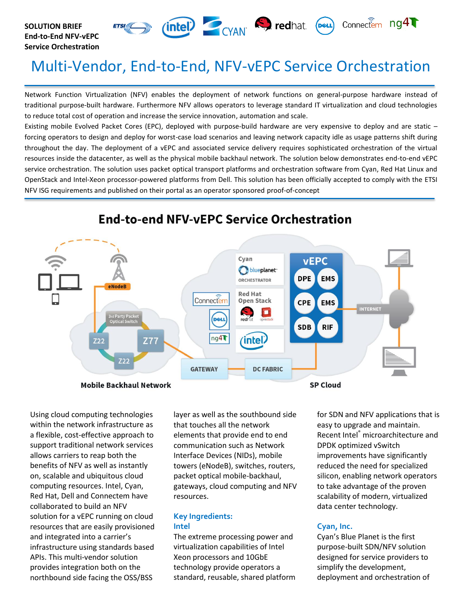



# Multi-Vendor, End-to-End, NFV-vEPC Service Orchestration

Network Function Virtualization (NFV) enables the deployment of network functions on general-purpose hardware instead of traditional purpose-built hardware. Furthermore NFV allows operators to leverage standard IT virtualization and cloud technologies to reduce total cost of operation and increase the service innovation, automation and scale.

Existing mobile Evolved Packet Cores (EPC), deployed with purpose-build hardware are very expensive to deploy and are static – forcing operators to design and deploy for worst-case load scenarios and leaving network capacity idle as usage patterns shift during throughout the day. The deployment of a vEPC and associated service delivery requires sophisticated orchestration of the virtual resources inside the datacenter, as well as the physical mobile backhaul network. The solution below demonstrates end-to-end vEPC service orchestration. The solution uses packet optical transport platforms and orchestration software from Cyan, Red Hat Linux and OpenStack and Intel-Xeon processor-powered platforms from Dell. This solution has been officially accepted to comply with the ETSI NFV ISG requirements and published on their portal as an operator sponsored proof-of-concept



## **End-to-end NFV-vEPC Service Orchestration**

Using cloud computing technologies within the network infrastructure as a flexible, cost-effective approach to support traditional network services allows carriers to reap both the benefits of NFV as well as instantly on, scalable and ubiquitous cloud computing resources. Intel, Cyan, Red Hat, Dell and Connectem have collaborated to build an NFV solution for a vEPC running on cloud resources that are easily provisioned and integrated into a carrier's infrastructure using standards based APIs. This multi-vendor solution provides integration both on the northbound side facing the OSS/BSS

layer as well as the southbound side that touches all the network elements that provide end to end communication such as Network Interface Devices (NIDs), mobile towers (eNodeB), switches, routers, packet optical mobile-backhaul, gateways, cloud computing and NFV resources.

#### **Key Ingredients: Intel**

The extreme processing power and virtualization capabilities of Intel Xeon processors and 10GbE technology provide operators a standard, reusable, shared platform

for SDN and NFV applications that is easy to upgrade and maintain. Recent Intel® microarchitecture and DPDK optimized vSwitch improvements have significantly reduced the need for specialized silicon, enabling network operators to take advantage of the proven scalability of modern, virtualized data center technology.

### **Cyan, Inc.**

Cyan's Blue Planet is the first purpose-built SDN/NFV solution designed for service providers to simplify the development, deployment and orchestration of